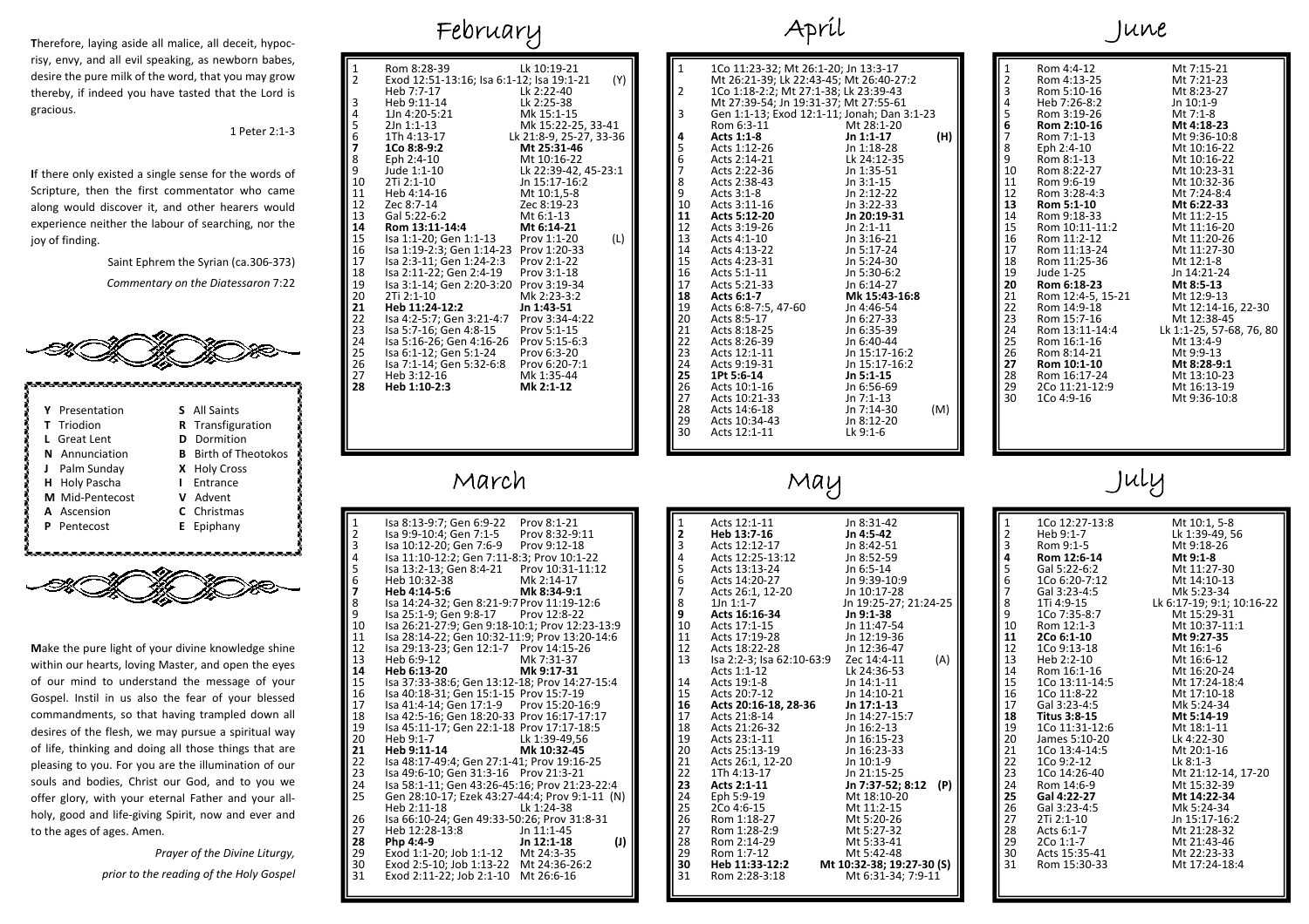**T**herefore, laying aside all malice, all deceit, hypoc‐ risy, envy, and all evil speaking, as newborn babes, desire the pure milk of the word, that you may grow thereby, if indeed you have tasted that the Lord is gracious.

1 Peter 2:1‐3

**I**f there only existed <sup>a</sup> single sense for the words of Scripture, then the first commentator who came along would discover it, and other hearers would experience neither the labour of searching, nor the joy of finding.

Saint Ephrem the Syrian (ca.306‐373)

*Commentary on the Diatessaron* 7:22



|  | Y Presentation     | <b>S</b> All Saints         |
|--|--------------------|-----------------------------|
|  | <b>T</b> Triodion  | <b>R</b> Transfiguration    |
|  | L Great Lent       | <b>D</b> Dormition          |
|  | N Annunciation     | <b>B</b> Birth of Theotokos |
|  | Palm Sunday        | X Holy Cross                |
|  | H Holy Pascha      | <b>I</b> Entrance           |
|  | M Mid-Pentecost    | V Advent                    |
|  | A Ascension        | C Christmas                 |
|  | <b>P</b> Pentecost | <b>E</b> Epiphany           |
|  |                    |                             |



**M**ake the pure light of your divine knowledge shine within our hearts, loving Master, and open the eyes of our mind to understand the message of your Gospel. Instil in us also the fear of your blessed commandments, so that having trampled down all desires of the flesh, we may pursue <sup>a</sup> spiritual way of life, thinking and doing all those things that are pleasing to you. For you are the illumination of our souls and bodies, Christ our God, and to you we offer glory, with your eternal Father and your all‐ holy, good and life‐giving Spirit, now and ever and to the ages of ages. Amen.

> *Prayer of the Divine Liturgy, prior to the reading of the Holy Gospel*

## February

| 1             | Rom 8:28-39                               | Lk 10:19-21             |
|---------------|-------------------------------------------|-------------------------|
| 2             | Exod 12:51-13:16; Isa 6:1-12; Isa 19:1-21 | (Y)                     |
|               | Heb 7:7-17                                | Lk 2:22-40              |
| 3             | Heb 9:11-14                               | Lk 2:25-38              |
| 4             | 1Jn 4:20-5:21                             | Mk 15:1-15              |
| 5             | 2Jn 1:1-13                                | Mk 15:22-25, 33-41      |
| $\frac{6}{7}$ | 1Th 4:13-17                               | Lk 21:8-9, 25-27, 33-36 |
|               | 1Co 8:8-9:2                               | Mt 25:31-46             |
| 8             | Eph 2:4-10                                | Mt 10:16-22             |
| 9             | Jude 1:1-10                               | Lk 22:39-42, 45-23:1    |
| 10            | 2Ti 2:1-10                                | Jn 15:17-16:2           |
| 11            | Heb 4:14-16                               | Mt 10:1,5-8             |
| 12            | Zec 8:7-14                                | Zec 8:19-23             |
| 13            | Gal 5:22-6:2                              | Mt 6:1-13               |
| 14            | Rom 13:11-14:4                            | Mt 6:14-21              |
| 15            | Isa 1:1-20; Gen 1:1-13                    | Prov 1:1-20<br>(L)      |
| 16            | Isa 1:19-2:3; Gen 1:14-23                 | Prov 1:20-33            |
| 17            | Isa 2:3-11; Gen 1:24-2:3                  | Prov 2:1-22             |
| 18            | Isa 2:11-22; Gen 2:4-19                   | Prov 3:1-18             |
| 19            | Isa 3:1-14; Gen 2:20-3:20                 | Prov 3:19-34            |
| 20            | 2Ti 2:1-10                                | Mk 2:23-3:2             |
| 21            | Heb 11:24-12:2                            | Jn 1:43-51              |
| 22            | Isa 4:2-5:7; Gen 3:21-4:7                 | Prov 3:34-4:22          |
| 23            | Isa 5:7-16; Gen 4:8-15                    | Prov 5:1-15             |
| 24            | Isa 5:16-26; Gen 4:16-26                  | Prov 5:15-6:3           |
| 25            | Isa 6:1-12; Gen 5:1-24                    | Prov 6:3-20             |
| 26            | Isa 7:1-14; Gen 5:32-6:8                  | Prov 6:20-7:1           |
| 27            | Heb 3:12-16                               | Mk 1:35-44              |
| 28            | Heb 1:10-2:3                              | Mk 2:1-12               |
|               |                                           |                         |
|               |                                           |                         |
|               |                                           |                         |
|               |                                           |                         |
|               |                                           |                         |

#### March

| 1      | Isa 8:13-9:7; Gen 6:9-22                       | Prov 8:1-21       |
|--------|------------------------------------------------|-------------------|
|        | Isa 9:9-10:4; Gen 7:1-5                        | Prov 8:32-9:11    |
| 2<br>3 | Isa 10:12-20; Gen 7:6-9                        | Prov 9:12-18      |
| 4      | Isa 11:10-12:2; Gen 7:11-8:3; Prov 10:1-22     |                   |
|        | Isa 13:2-13; Gen 8:4-21                        | Prov 10:31-11:12  |
| 5<br>6 | Heb 10:32-38                                   | Mk 2:14-17        |
| 7      | Heb 4:14-5:6                                   | Mk 8:34-9:1       |
| 8      | Isa 14:24-32; Gen 8:21-9:7 Prov 11:19-12:6     |                   |
| 9      | Isa 25:1-9; Gen 9:8-17                         | Prov 12:8-22      |
| 10     | Isa 26:21-27:9; Gen 9:18-10:1; Prov 12:23-13:9 |                   |
| 11     | Isa 28:14-22; Gen 10:32-11:9; Prov 13:20-14:6  |                   |
| 12     | Isa 29:13-23; Gen 12:1-7 Prov 14:15-26         |                   |
| 13     | Heb 6:9-12                                     | Mk 7:31-37        |
| 14     | Heb 6:13-20                                    | Mk 9:17-31        |
| 15     | Isa 37:33-38:6; Gen 13:12-18; Prov 14:27-15:4  |                   |
| 16     | Isa 40:18-31; Gen 15:1-15 Prov 15:7-19         |                   |
| 17     | Isa 41:4-14; Gen 17:1-9 Prov 15:20-16:9        |                   |
| 18     | Isa 42:5-16; Gen 18:20-33 Prov 16:17-17:17     |                   |
| 19     | Isa 45:11-17; Gen 22:1-18 Prov 17:17-18:5      |                   |
| 20     | Heb 9:1-7                                      | Lk 1:39-49.56     |
| 21     | Heb 9:11-14                                    | Mk 10:32-45       |
| 22     | Isa 48:17-49:4; Gen 27:1-41; Prov 19:16-25     |                   |
| 23     | Isa 49:6-10; Gen 31:3-16 Prov 21:3-21          |                   |
| 24     | Isa 58:1-11; Gen 43:26-45:16; Prov 21:23-22:4  |                   |
| 25     | Gen 28:10-17; Ezek 43:27-44:4; Prov 9:1-11 (N) |                   |
|        | Heb 2:11-18                                    | Lk 1:24-38        |
| 26     | Isa 66:10-24; Gen 49:33-50:26; Prov 31:8-31    |                   |
| 27     | Heb 12:28-13:8                                 | Jn 11:1-45        |
| 28     | Php 4:4-9                                      | (J)<br>Jn 12:1-18 |
| 29     | Exod 1:1-20; Job 1:1-12 Mt 24:3-35             |                   |
| 30     | Exod 2:5-10; Job 1:13-22 Mt 24:36-26:2         |                   |
| 31     | Exod 2:11-22; Job 2:1-10                       | Mt 26:6-16        |
|        |                                                |                   |

### April

| $\mathbf{1}$   | 1Co 11:23-32; Mt 26:1-20; Jn 13:3-17<br>Mt 26:21-39; Lk 22:43-45; Mt 26:40-27:2                                                                                                                                                                                                                 |     |
|----------------|-------------------------------------------------------------------------------------------------------------------------------------------------------------------------------------------------------------------------------------------------------------------------------------------------|-----|
| $\overline{2}$ | 1Co 1:18-2:2; Mt 27:1-38; Lk 23:39-43<br>Mt 27:39-54; Jn 19:31-37; Mt 27:55-61                                                                                                                                                                                                                  |     |
| 3              | Gen 1:1-13; Exod 12:1-11; Jonah; Dan 3:1-23<br>Gen 1:1-13; Exod 12:1-11; Jonan; Dan 3:1-2<br>Rom 6:3-11 Mt 28:1-20<br>Acts 1:1-8<br>Acts 1:1-2<br>Acts 2:14-21 In 1:14-17<br>Acts 2:22-36 In 1:35-25<br>Acts 2:22-36 In 1:35-51<br>Acts 2:22-36 In 1:35-51<br>Acts 2:38-43 In 2:12-22<br>Acts 3 |     |
| 4              |                                                                                                                                                                                                                                                                                                 | (H) |
|                |                                                                                                                                                                                                                                                                                                 |     |
|                | Acts 2:14-21                                                                                                                                                                                                                                                                                    |     |
|                |                                                                                                                                                                                                                                                                                                 |     |
|                |                                                                                                                                                                                                                                                                                                 |     |
| 56789          |                                                                                                                                                                                                                                                                                                 |     |
| 10             |                                                                                                                                                                                                                                                                                                 |     |
| 11             |                                                                                                                                                                                                                                                                                                 |     |
| 12             |                                                                                                                                                                                                                                                                                                 |     |
| 13             |                                                                                                                                                                                                                                                                                                 |     |
| 14             |                                                                                                                                                                                                                                                                                                 |     |
| 15             |                                                                                                                                                                                                                                                                                                 |     |
|                | 16 Acts 5:1-11                                                                                                                                                                                                                                                                                  |     |
| 17             |                                                                                                                                                                                                                                                                                                 |     |
| 18             |                                                                                                                                                                                                                                                                                                 |     |
| 19             |                                                                                                                                                                                                                                                                                                 |     |
| 20             |                                                                                                                                                                                                                                                                                                 |     |
| 21             |                                                                                                                                                                                                                                                                                                 |     |
| 22             |                                                                                                                                                                                                                                                                                                 |     |
| 23             |                                                                                                                                                                                                                                                                                                 |     |
| 24             |                                                                                                                                                                                                                                                                                                 |     |
| 25             |                                                                                                                                                                                                                                                                                                 |     |
| 26             | Acts 10:1-16                                                                                                                                                                                                                                                                                    |     |
|                | 27 Acts 10:21-33                                                                                                                                                                                                                                                                                |     |
| 28             | Acts 14:6-18                                                                                                                                                                                                                                                                                    | (M) |
| 29             |                                                                                                                                                                                                                                                                                                 |     |
| 30             | <b>Acts 6:1-7</b><br><b>Mk 15:43-16:8</b><br>Acts 8:5-17<br>Acts 8:5-17<br>Acts 8:5-17<br>Acts 8:18-25<br>Acts 8:18-25<br>In 6:35-39<br>Acts 8:18-25<br>In 6:35-39<br>In 6:35-39<br>Acts 9:19-31<br>In 15:17-16:2<br><b>11:17-16:2<br/> 1Pt 5:6-14</b><br><b>In 5:1-15</b><br>Acts 1            |     |
|                |                                                                                                                                                                                                                                                                                                 |     |

| Rom 4:4-12<br>Mt 7:15-21<br>1<br>23456<br>Mt 7:21-23<br>Rom 4:13-25<br>Rom 5:10-16<br>Mt 8:23-27<br>Heb 7:26-8:2<br>Jn $10:1-9$<br>Mt 7:1-8<br>Rom 3:19-26<br>Rom 2:10-16<br>Mt 4:18-23<br>7<br>Rom 7:1-13<br>Mt 9:36-10:8<br>8<br>Eph 2:4-10<br>Mt 10:16-22<br>9<br>Rom 8:1-13<br>Mt 10:16-22<br>10<br>Rom 8:22-27<br>Mt 10:23-31<br>11<br>Rom 9:6-19<br>Mt 10:32-36<br>12<br>Mt 7:24-8:4<br>Rom 3:28-4:3<br>13<br>Mt 6:22-33<br>Rom 5:1-10<br>14<br>Mt 11:2-15<br>Rom 9:18-33<br>15<br>Mt 11:16-20<br>Rom 10:11-11:2<br>16<br>Rom 11:2-12<br>Mt 11:20-26<br>17<br>Mt 11:27-30<br>Rom 11:13-24<br>18<br>Rom 11:25-36<br>Mt 12:1-8<br>19<br>Jude 1-25<br>Jn 14:21-24<br>20<br>Rom 6:18-23<br>Mt 8:5-13<br>21<br>Rom 12:4-5, 15-21<br>Mt 12:9-13<br>22<br>Rom 14:9-18<br>23<br>Mt 12:38-45<br>Rom 15:7-16<br>24<br>Rom 13:11-14:4<br>25<br>Mt 13:4-9<br>Rom 16:1-16<br>26<br>Mt 9:9-13<br>Rom 8:14-21<br>27<br>Rom 10:1-10<br>Mt 8:28-9:1<br>28<br>Rom 16:17-24<br>Mt 13:10-23<br>Mt 16:13-19<br>29<br>2Co 11:21-12:9<br>30<br>1Co 4:9-16<br>Mt 9:36-10:8 |  |                                                |
|----------------------------------------------------------------------------------------------------------------------------------------------------------------------------------------------------------------------------------------------------------------------------------------------------------------------------------------------------------------------------------------------------------------------------------------------------------------------------------------------------------------------------------------------------------------------------------------------------------------------------------------------------------------------------------------------------------------------------------------------------------------------------------------------------------------------------------------------------------------------------------------------------------------------------------------------------------------------------------------------------------------------------------------------------------|--|------------------------------------------------|
|                                                                                                                                                                                                                                                                                                                                                                                                                                                                                                                                                                                                                                                                                                                                                                                                                                                                                                                                                                                                                                                          |  | Mt 12:14-16, 22-30<br>Lk 1:1-25, 57-68, 76, 80 |
|                                                                                                                                                                                                                                                                                                                                                                                                                                                                                                                                                                                                                                                                                                                                                                                                                                                                                                                                                                                                                                                          |  |                                                |
|                                                                                                                                                                                                                                                                                                                                                                                                                                                                                                                                                                                                                                                                                                                                                                                                                                                                                                                                                                                                                                                          |  |                                                |
|                                                                                                                                                                                                                                                                                                                                                                                                                                                                                                                                                                                                                                                                                                                                                                                                                                                                                                                                                                                                                                                          |  |                                                |

June

#### May

| 1                          | Acts 12:1-11                          | Jn 8:31-42                                                                                                                |
|----------------------------|---------------------------------------|---------------------------------------------------------------------------------------------------------------------------|
| 2                          | Heb 13:7-16                           | Jn 4:5-42                                                                                                                 |
| 3                          | Acts 12:12-17                         | Jn 8:42-51                                                                                                                |
| 4                          | Acts 12:25-13:12                      | Jn 8:52-59                                                                                                                |
| 5<br>6                     | Acts 13:13-24                         | Jn 6:5-14                                                                                                                 |
|                            | Acts 14:20-27                         | Jn 9:39-10:9                                                                                                              |
| 7                          | Acts 26:1, 12-20                      | Jn 10:17-28                                                                                                               |
| 8                          | $1Jn 1:1-7$                           | Jn 19:25-27; 21:24-25                                                                                                     |
| 9                          | Acts 16:16-34                         | Jn 9:1-38                                                                                                                 |
| 10                         | Acts 17:1-15                          | Jn 11:47-54                                                                                                               |
| 11                         | Acts 17:19-28                         | Jn 12:19-36                                                                                                               |
| 12                         | Acts 18:22-28                         | Jn 12:36-47                                                                                                               |
| 13                         | Isa 2:2-3; Isa 62:10-63:9 Zec 14:4-11 | (A)                                                                                                                       |
|                            | Acts 1:1-12                           | Lk 24:36-53                                                                                                               |
| 14                         | Acts 19:1-8                           | Jn 14:1-11                                                                                                                |
| 15                         | Acts 20:7-12                          | Jn 14:10-21                                                                                                               |
| 16                         | Acts 20:16-18, 28-36                  | Jn 17:1 13                                                                                                                |
| 17                         | Acts 21:8-14                          | Jn 14:27-15:7<br>$\begin{array}{c}\n\text{In }16:2-1. \\ \text{In }16:15-23 \\ \text{In }16:23-33 \\ \hline\n\end{array}$ |
| 18                         | Acts 21:26-32                         |                                                                                                                           |
| 19                         | Acts 23:1-11                          |                                                                                                                           |
| 20                         | Acts 25:13-19                         |                                                                                                                           |
| 21                         | Acts 26:1, 12-20                      | Jn 10:1-9                                                                                                                 |
| $\overline{2}\overline{2}$ | 1Th 4:13-17                           | Jn 21:15-25                                                                                                               |
| 23                         | Acts 2:1-11                           | Jn 7:37-52; 8:12<br>(P)                                                                                                   |
| 24                         | Eph 5:9-19                            | Mt 18:10-20                                                                                                               |
| 25                         | 2Co 4:6-15                            | Mt 11:2-15                                                                                                                |
| 26                         | Rom 1:18-27                           | Mt 5:20-26                                                                                                                |
| 27                         | Rom 1:28-2:9                          | Mt 5:27-32                                                                                                                |
| 28                         | Rom 2:14-29                           | Mt 5:33-41                                                                                                                |
| 29                         | Rom 1:7-12                            | Mt 5:42-48                                                                                                                |
| 30                         | Heb 11:33-12:2                        | Mt 10:32-38; 19:27-30 (S)                                                                                                 |
| 31                         | Rom 2:28-3:18                         | Mt 6:31-34; 7:9-11                                                                                                        |
|                            |                                       |                                                                                                                           |

July